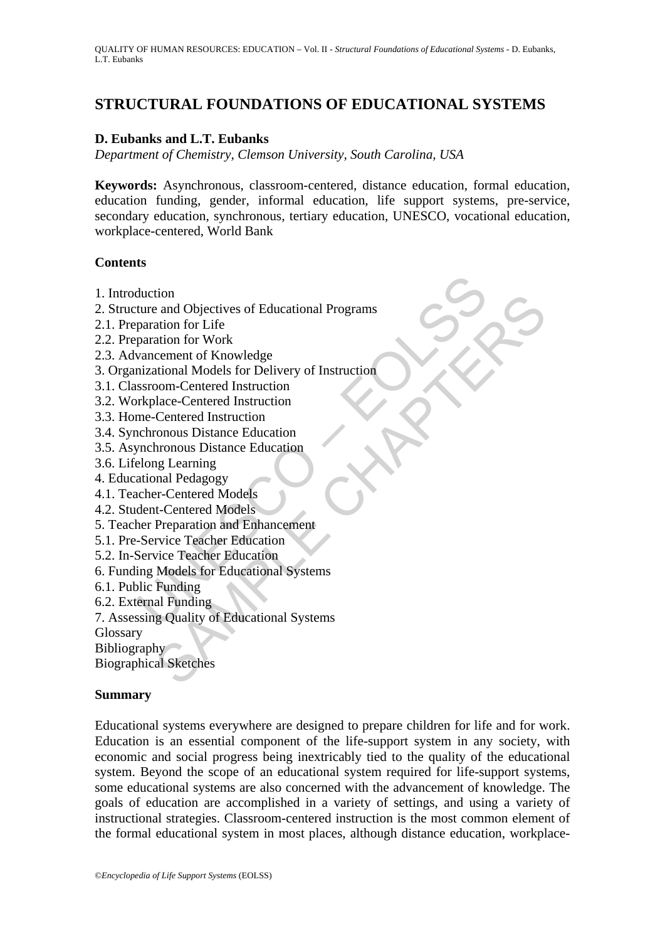# **STRUCTURAL FOUNDATIONS OF EDUCATIONAL SYSTEMS**

## **D. Eubanks and L.T. Eubanks**

*Department of Chemistry, Clemson University, South Carolina, USA* 

**Keywords:** Asynchronous, classroom-centered, distance education, formal education, education funding, gender, informal education, life support systems, pre-service, secondary education, synchronous, tertiary education, UNESCO, vocational education, workplace-centered, World Bank

### **Contents**

- 1. Introduction
- duction<br>ture and Objectives of Educational Programs<br>paration for Life<br>paration for Work<br>wancement of Knowledge<br>mizational Models for Delivery of Instruction<br>systoom-Centered Instruction<br>systoom-Centered Instruction<br>me-Cent tion<br>
and Objectives of Educational Programs<br>
and Objectives of Educational Programs<br>
ation for Work<br>
cement of Knowledge<br>
cannel Models for Delivery of Instruction<br>
Centered Instruction<br>
Contered Instruction<br>
conous Dista 2. Structure and Objectives of Educational Programs
- 2.1. Preparation for Life
- 2.2. Preparation for Work
- 2.3. Advancement of Knowledge
- 3. Organizational Models for Delivery of Instruction
- 3.1. Classroom-Centered Instruction
- 3.2. Workplace-Centered Instruction
- 3.3. Home-Centered Instruction
- 3.4. Synchronous Distance Education
- 3.5. Asynchronous Distance Education
- 3.6. Lifelong Learning
- 4. Educational Pedagogy
- 4.1. Teacher-Centered Models
- 4.2. Student-Centered Models
- 5. Teacher Preparation and Enhancement
- 5.1. Pre-Service Teacher Education
- 5.2. In-Service Teacher Education
- 6. Funding Models for Educational Systems
- 6.1. Public Funding
- 6.2. External Funding
- 7. Assessing Quality of Educational Systems

Glossary

Bibliography

Biographical Sketches

### **Summary**

Educational systems everywhere are designed to prepare children for life and for work. Education is an essential component of the life-support system in any society, with economic and social progress being inextricably tied to the quality of the educational system. Beyond the scope of an educational system required for life-support systems, some educational systems are also concerned with the advancement of knowledge. The goals of education are accomplished in a variety of settings, and using a variety of instructional strategies. Classroom-centered instruction is the most common element of the formal educational system in most places, although distance education, workplace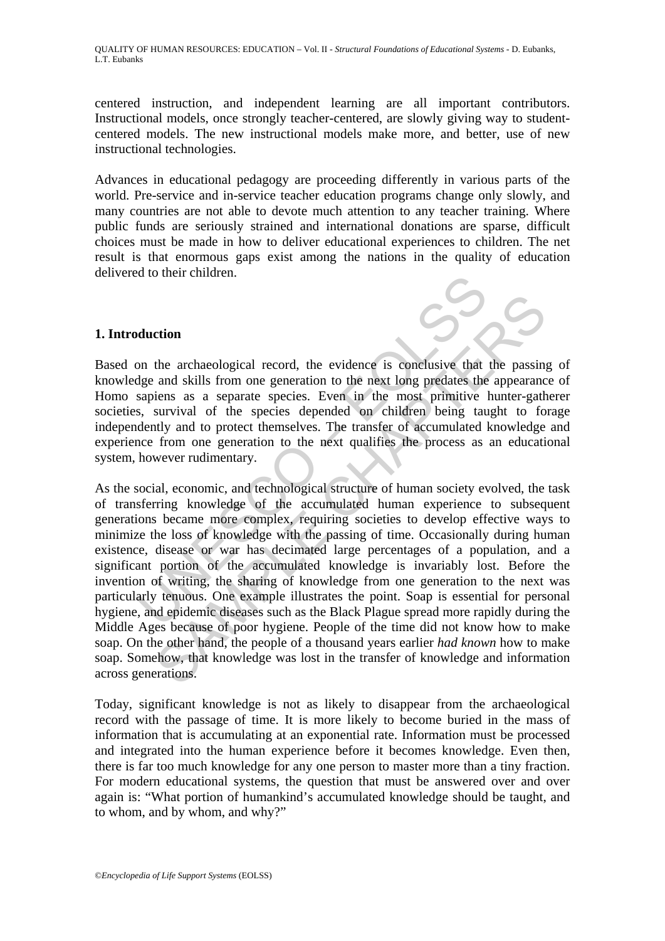QUALITY OF HUMAN RESOURCES: EDUCATION – Vol. II - *Structural Foundations of Educational Systems* - D. Eubanks, L.T. Eubanks

centered instruction, and independent learning are all important contributors. Instructional models, once strongly teacher-centered, are slowly giving way to studentcentered models. The new instructional models make more, and better, use of new instructional technologies.

Advances in educational pedagogy are proceeding differently in various parts of the world. Pre-service and in-service teacher education programs change only slowly, and many countries are not able to devote much attention to any teacher training. Where public funds are seriously strained and international donations are sparse, difficult choices must be made in how to deliver educational experiences to children. The net result is that enormous gaps exist among the nations in the quality of education delivered to their children.

### **1. Introduction**

Based on the archaeological record, the evidence is conclusive that the passing of knowledge and skills from one generation to the next long predates the appearance of Homo sapiens as a separate species. Even in the most primitive hunter-gatherer societies, survival of the species depended on children being taught to forage independently and to protect themselves. The transfer of accumulated knowledge and experience from one generation to the next qualifies the process as an educational system, however rudimentary.

**Multion**<br> **Multion**<br> **On** the archaeological record, the evidence is conclusive that<br>
dge and skills from one generation to the next long predates the<br>
sapiens as a separate species. Even in the most primitive ls,<br>
surviv **community** that are actions and skills from one generation to the examplement and skills from one generation to the next long predates the appearance survival of the species Even in the most primitive hunter-gaths using As the social, economic, and technological structure of human society evolved, the task of transferring knowledge of the accumulated human experience to subsequent generations became more complex, requiring societies to develop effective ways to minimize the loss of knowledge with the passing of time. Occasionally during human existence, disease or war has decimated large percentages of a population, and a significant portion of the accumulated knowledge is invariably lost. Before the invention of writing, the sharing of knowledge from one generation to the next was particularly tenuous. One example illustrates the point. Soap is essential for personal hygiene, and epidemic diseases such as the Black Plague spread more rapidly during the Middle Ages because of poor hygiene. People of the time did not know how to make soap. On the other hand, the people of a thousand years earlier *had known* how to make soap. Somehow, that knowledge was lost in the transfer of knowledge and information across generations.

Today, significant knowledge is not as likely to disappear from the archaeological record with the passage of time. It is more likely to become buried in the mass of information that is accumulating at an exponential rate. Information must be processed and integrated into the human experience before it becomes knowledge. Even then, there is far too much knowledge for any one person to master more than a tiny fraction. For modern educational systems, the question that must be answered over and over again is: "What portion of humankind's accumulated knowledge should be taught, and to whom, and by whom, and why?"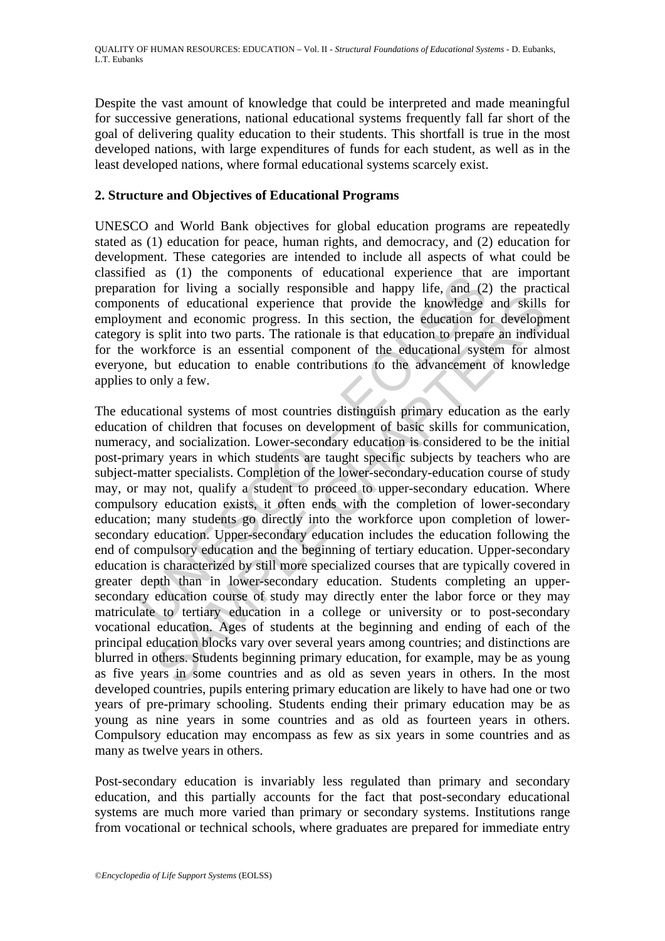Despite the vast amount of knowledge that could be interpreted and made meaningful for successive generations, national educational systems frequently fall far short of the goal of delivering quality education to their students. This shortfall is true in the most developed nations, with large expenditures of funds for each student, as well as in the least developed nations, where formal educational systems scarcely exist.

### **2. Structure and Objectives of Educational Programs**

UNESCO and World Bank objectives for global education programs are repeatedly stated as (1) education for peace, human rights, and democracy, and (2) education for development. These categories are intended to include all aspects of what could be classified as (1) the components of educational experience that are important preparation for living a socially responsible and happy life, and (2) the practical components of educational experience that provide the knowledge and skills for employment and economic progress. In this section, the education for development category is split into two parts. The rationale is that education to prepare an individual for the workforce is an essential component of the educational system for almost everyone, but education to enable contributions to the advancement of knowledge applies to only a few.

as (1) are components of enconcomparate that<br>tion for living a socially responsible and happy life, and (2<br>aents of educational experience that provide the knowledge<br>ment and economic progress. In this section, the educati s of educational experience that provide the knowledge and skills<br>at and economic progress. In this section, the education for development and economic progress. In this section, the education for development and economic The educational systems of most countries distinguish primary education as the early education of children that focuses on development of basic skills for communication, numeracy, and socialization. Lower-secondary education is considered to be the initial post-primary years in which students are taught specific subjects by teachers who are subject-matter specialists. Completion of the lower-secondary-education course of study may, or may not, qualify a student to proceed to upper-secondary education. Where compulsory education exists, it often ends with the completion of lower-secondary education; many students go directly into the workforce upon completion of lowersecondary education. Upper-secondary education includes the education following the end of compulsory education and the beginning of tertiary education. Upper-secondary education is characterized by still more specialized courses that are typically covered in greater depth than in lower-secondary education. Students completing an uppersecondary education course of study may directly enter the labor force or they may matriculate to tertiary education in a college or university or to post-secondary vocational education. Ages of students at the beginning and ending of each of the principal education blocks vary over several years among countries; and distinctions are blurred in others. Students beginning primary education, for example, may be as young as five years in some countries and as old as seven years in others. In the most developed countries, pupils entering primary education are likely to have had one or two years of pre-primary schooling. Students ending their primary education may be as young as nine years in some countries and as old as fourteen years in others. Compulsory education may encompass as few as six years in some countries and as many as twelve years in others.

Post-secondary education is invariably less regulated than primary and secondary education, and this partially accounts for the fact that post-secondary educational systems are much more varied than primary or secondary systems. Institutions range from vocational or technical schools, where graduates are prepared for immediate entry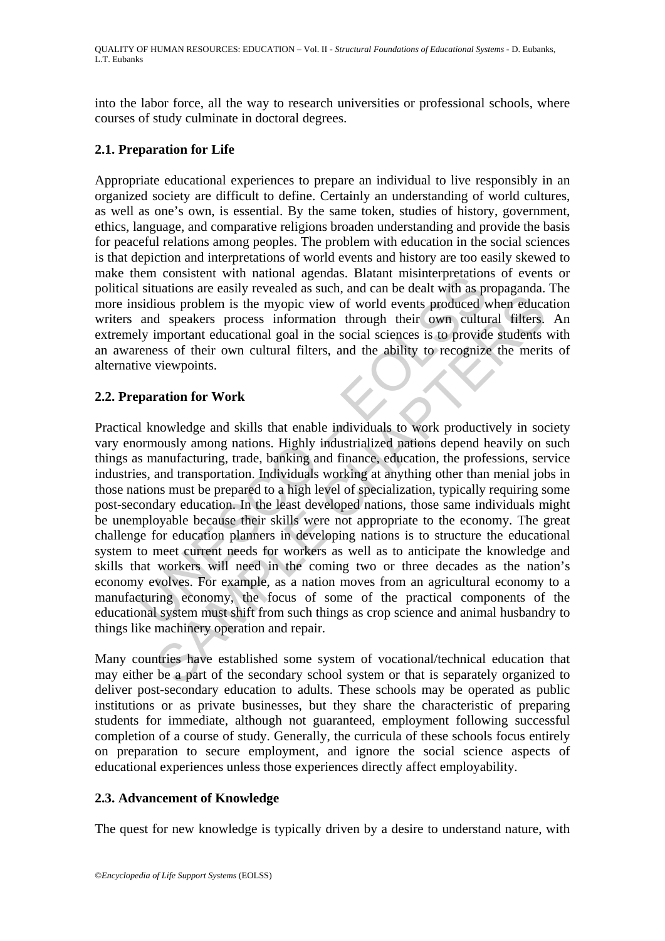into the labor force, all the way to research universities or professional schools, where courses of study culminate in doctoral degrees.

# **2.1. Preparation for Life**

Appropriate educational experiences to prepare an individual to live responsibly in an organized society are difficult to define. Certainly an understanding of world cultures, as well as one's own, is essential. By the same token, studies of history, government, ethics, language, and comparative religions broaden understanding and provide the basis for peaceful relations among peoples. The problem with education in the social sciences is that depiction and interpretations of world events and history are too easily skewed to make them consistent with national agendas. Blatant misinterpretations of events or political situations are easily revealed as such, and can be dealt with as propaganda. The more insidious problem is the myopic view of world events produced when education writers and speakers process information through their own cultural filters. An extremely important educational goal in the social sciences is to provide students with an awareness of their own cultural filters, and the ability to recognize the merits of alternative viewpoints.

# **2.2. Preparation for Work**

entire consistent will national agenous. Batant instinctional restricts in situations are easily revealed as such, and can be dealt with as pisidious problem is the myopic view of world events produced vand speakers proces ious problem is the myopic view of world events produced when educations problem is the myopic view of world events produced when education d speakers process information through their own cultural filters, ess of their ow Practical knowledge and skills that enable individuals to work productively in society vary enormously among nations. Highly industrialized nations depend heavily on such things as manufacturing, trade, banking and finance, education, the professions, service industries, and transportation. Individuals working at anything other than menial jobs in those nations must be prepared to a high level of specialization, typically requiring some post-secondary education. In the least developed nations, those same individuals might be unemployable because their skills were not appropriate to the economy. The great challenge for education planners in developing nations is to structure the educational system to meet current needs for workers as well as to anticipate the knowledge and skills that workers will need in the coming two or three decades as the nation's economy evolves. For example, as a nation moves from an agricultural economy to a manufacturing economy, the focus of some of the practical components of the educational system must shift from such things as crop science and animal husbandry to things like machinery operation and repair.

Many countries have established some system of vocational/technical education that may either be a part of the secondary school system or that is separately organized to deliver post-secondary education to adults. These schools may be operated as public institutions or as private businesses, but they share the characteristic of preparing students for immediate, although not guaranteed, employment following successful completion of a course of study. Generally, the curricula of these schools focus entirely on preparation to secure employment, and ignore the social science aspects of educational experiences unless those experiences directly affect employability.

# **2.3. Advancement of Knowledge**

The quest for new knowledge is typically driven by a desire to understand nature, with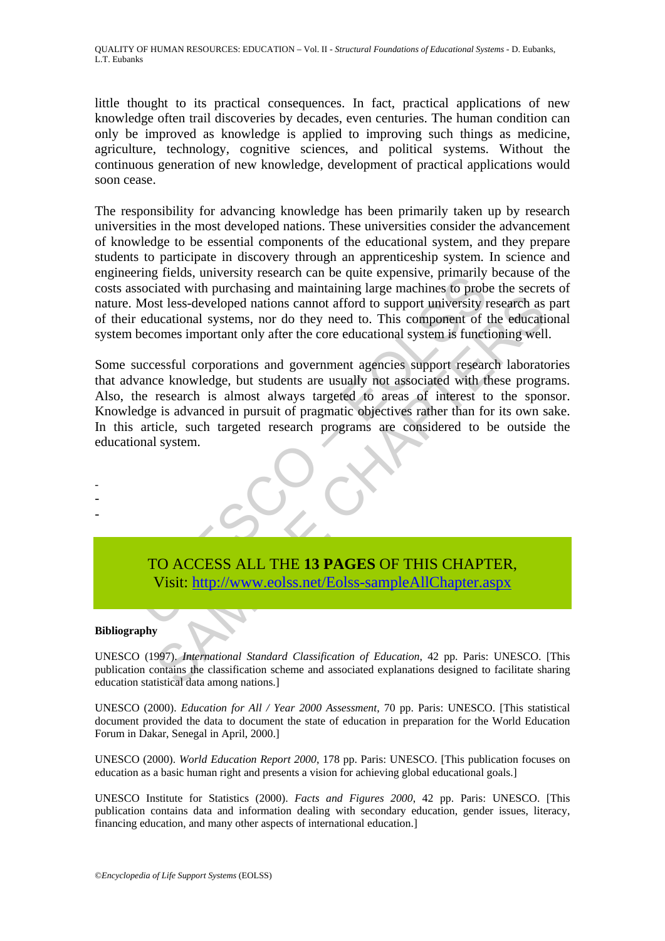QUALITY OF HUMAN RESOURCES: EDUCATION – Vol. II - *Structural Foundations of Educational Systems* - D. Eubanks, L.T. Eubanks

little thought to its practical consequences. In fact, practical applications of new knowledge often trail discoveries by decades, even centuries. The human condition can only be improved as knowledge is applied to improving such things as medicine, agriculture, technology, cognitive sciences, and political systems. Without the continuous generation of new knowledge, development of practical applications would soon cease.

The responsibility for advancing knowledge has been primarily taken up by research universities in the most developed nations. These universities consider the advancement of knowledge to be essential components of the educational system, and they prepare students to participate in discovery through an apprenticeship system. In science and engineering fields, university research can be quite expensive, primarily because of the costs associated with purchasing and maintaining large machines to probe the secrets of nature. Most less-developed nations cannot afford to support university research as part of their educational systems, nor do they need to. This component of the educational system becomes important only after the core educational system is functioning well.

In the consistent can be quite expensive, primarily<br>sociated with purchasing and maintaining large machines to prob<br>Most less-developed nations cannot afford to support university reducational systems, nor do they need to. STREAM STREAM STREAM STREAM STREAM STREAM STREAM STREAM SURFAIR SURFAIR SURFAIR SURFAIRING SURFAIRING SURFAIRING SURFAIRING SURFAIRING SURFAIRING SURFAIRING SURFAIRING SURFAIRING SURFAIRING SURFAIRING SURFAIRING SURFAIRING Some successful corporations and government agencies support research laboratories that advance knowledge, but students are usually not associated with these programs. Also, the research is almost always targeted to areas of interest to the sponsor. Knowledge is advanced in pursuit of pragmatic objectives rather than for its own sake. In this article, such targeted research programs are considered to be outside the educational system.

TO ACCESS ALL THE **13 PAGES** OF THIS CHAPTER, Visit: http://www.eolss.net/Eolss-sampleAllChapter.aspx

#### **Bibliography**

- - -

UNESCO (1997). *International Standard Classification of Education*, 42 pp. Paris: UNESCO. [This publication contains the classification scheme and associated explanations designed to facilitate sharing education statistical data among nations.]

UNESCO (2000). *Education for All / Year 2000 Assessment*, 70 pp. Paris: UNESCO. [This statistical document provided the data to document the state of education in preparation for the World Education Forum in Dakar, Senegal in April, 2000.]

UNESCO (2000). *World Education Report 2000*, 178 pp. Paris: UNESCO. [This publication focuses on education as a basic human right and presents a vision for achieving global educational goals.]

UNESCO Institute for Statistics (2000). *Facts and Figures 2000*, 42 pp. Paris: UNESCO. [This publication contains data and information dealing with secondary education, gender issues, literacy, financing education, and many other aspects of international education.]